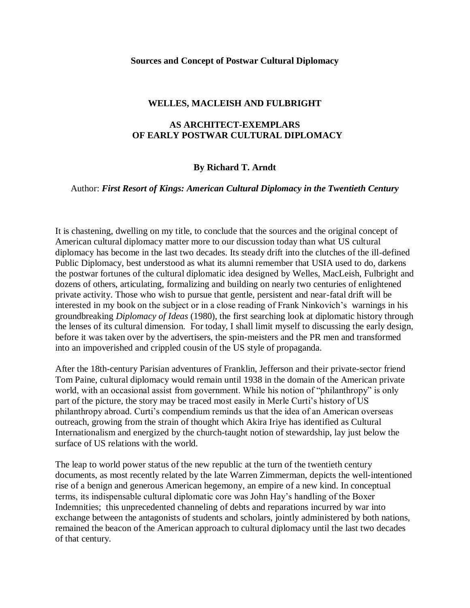### **Sources and Concept of Postwar Cultural Diplomacy**

### **WELLES, MACLEISH AND FULBRIGHT**

# **AS ARCHITECT-EXEMPLARS OF EARLY POSTWAR CULTURAL DIPLOMACY**

## **By Richard T. Arndt**

### Author: *First Resort of Kings: American Cultural Diplomacy in the Twentieth Century*

It is chastening, dwelling on my title, to conclude that the sources and the original concept of American cultural diplomacy matter more to our discussion today than what US cultural diplomacy has become in the last two decades. Its steady drift into the clutches of the ill-defined Public Diplomacy, best understood as what its alumni remember that USIA used to do, darkens the postwar fortunes of the cultural diplomatic idea designed by Welles, MacLeish, Fulbright and dozens of others, articulating, formalizing and building on nearly two centuries of enlightened private activity. Those who wish to pursue that gentle, persistent and near-fatal drift will be interested in my book on the subject or in a close reading of Frank Ninkovich's warnings in his groundbreaking *Diplomacy of Ideas* (1980), the first searching look at diplomatic history through the lenses of its cultural dimension. For today, I shall limit myself to discussing the early design, before it was taken over by the advertisers, the spin-meisters and the PR men and transformed into an impoverished and crippled cousin of the US style of propaganda.

After the 18th-century Parisian adventures of Franklin, Jefferson and their private-sector friend Tom Paine, cultural diplomacy would remain until 1938 in the domain of the American private world, with an occasional assist from government. While his notion of "philanthropy" is only part of the picture, the story may be traced most easily in Merle Curti's history of US philanthropy abroad. Curti"s compendium reminds us that the idea of an American overseas outreach, growing from the strain of thought which Akira Iriye has identified as Cultural Internationalism and energized by the church-taught notion of stewardship, lay just below the surface of US relations with the world.

The leap to world power status of the new republic at the turn of the twentieth century documents, as most recently related by the late Warren Zimmerman, depicts the well-intentioned rise of a benign and generous American hegemony, an empire of a new kind. In conceptual terms, its indispensable cultural diplomatic core was John Hay"s handling of the Boxer Indemnities; this unprecedented channeling of debts and reparations incurred by war into exchange between the antagonists of students and scholars, jointly administered by both nations, remained the beacon of the American approach to cultural diplomacy until the last two decades of that century.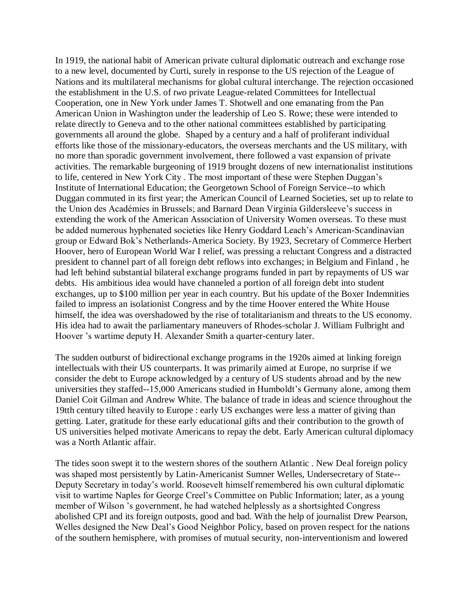In 1919, the national habit of American private cultural diplomatic outreach and exchange rose to a new level, documented by Curti, surely in response to the US rejection of the League of Nations and its multilateral mechanisms for global cultural interchange. The rejection occasioned the establishment in the U.S. of *two* private League-related Committees for Intellectual Cooperation, one in New York under James T. Shotwell and one emanating from the Pan American Union in Washington under the leadership of Leo S. Rowe; these were intended to relate directly to Geneva and to the other national committees established by participating governments all around the globe. Shaped by a century and a half of proliferant individual efforts like those of the missionary-educators, the overseas merchants and the US military, with no more than sporadic government involvement, there followed a vast expansion of private activities. The remarkable burgeoning of 1919 brought dozens of new internationalist institutions to life, centered in New York City . The most important of these were Stephen Duggan"s Institute of International Education; the Georgetown School of Foreign Service--to which Duggan commuted in its first year; the American Council of Learned Societies, set up to relate to the Union des Académies in Brussels; and Barnard Dean Virginia Gildersleeve"s success in extending the work of the American Association of University Women overseas. To these must be added numerous hyphenated societies like Henry Goddard Leach"s American-Scandinavian group or Edward Bok"s Netherlands-America Society. By 1923, Secretary of Commerce Herbert Hoover, hero of European World War I relief, was pressing a reluctant Congress and a distracted president to channel part of all foreign debt reflows into exchanges; in Belgium and Finland , he had left behind substantial bilateral exchange programs funded in part by repayments of US war debts. His ambitious idea would have channeled a portion of all foreign debt into student exchanges, up to \$100 million per year in each country. But his update of the Boxer Indemnities failed to impress an isolationist Congress and by the time Hoover entered the White House himself, the idea was overshadowed by the rise of totalitarianism and threats to the US economy. His idea had to await the parliamentary maneuvers of Rhodes-scholar J. William Fulbright and Hoover "s wartime deputy H. Alexander Smith a quarter-century later.

The sudden outburst of bidirectional exchange programs in the 1920s aimed at linking foreign intellectuals with their US counterparts. It was primarily aimed at Europe, no surprise if we consider the debt to Europe acknowledged by a century of US students abroad and by the new universities they staffed--15,000 Americans studied in Humboldt"s Germany alone, among them Daniel Coit Gilman and Andrew White. The balance of trade in ideas and science throughout the 19tth century tilted heavily to Europe : early US exchanges were less a matter of giving than getting. Later, gratitude for these early educational gifts and their contribution to the growth of US universities helped motivate Americans to repay the debt. Early American cultural diplomacy was a North Atlantic affair.

The tides soon swept it to the western shores of the southern Atlantic . New Deal foreign policy was shaped most persistently by Latin-Americanist Sumner Welles, Undersecretary of State-- Deputy Secretary in today"s world. Roosevelt himself remembered his own cultural diplomatic visit to wartime Naples for George Creel"s Committee on Public Information; later, as a young member of Wilson "s government, he had watched helplessly as a shortsighted Congress abolished CPI and its foreign outposts, good and bad. With the help of journalist Drew Pearson, Welles designed the New Deal"s Good Neighbor Policy, based on proven respect for the nations of the southern hemisphere, with promises of mutual security, non-interventionism and lowered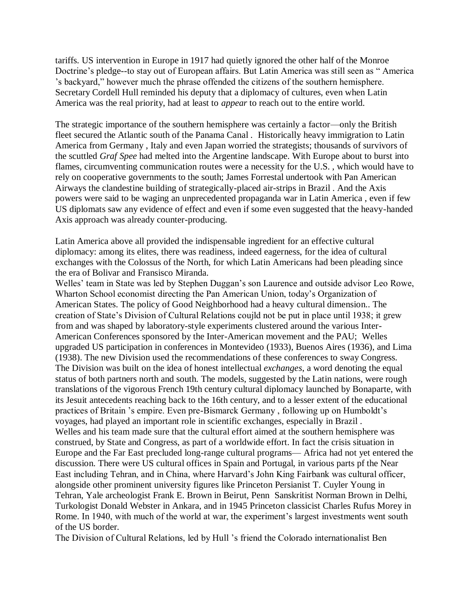tariffs. US intervention in Europe in 1917 had quietly ignored the other half of the Monroe Doctrine"s pledge--to stay out of European affairs. But Latin America was still seen as " America "s backyard," however much the phrase offended the citizens of the southern hemisphere. Secretary Cordell Hull reminded his deputy that a diplomacy of cultures, even when Latin America was the real priority, had at least to *appear* to reach out to the entire world.

The strategic importance of the southern hemisphere was certainly a factor—only the British fleet secured the Atlantic south of the Panama Canal . Historically heavy immigration to Latin America from Germany , Italy and even Japan worried the strategists; thousands of survivors of the scuttled *Graf Spee* had melted into the Argentine landscape. With Europe about to burst into flames, circumventing communication routes were a necessity for the U.S. , which would have to rely on cooperative governments to the south; James Forrestal undertook with Pan American Airways the clandestine building of strategically-placed air-strips in Brazil . And the Axis powers were said to be waging an unprecedented propaganda war in Latin America , even if few US diplomats saw any evidence of effect and even if some even suggested that the heavy-handed Axis approach was already counter-producing.

Latin America above all provided the indispensable ingredient for an effective cultural diplomacy: among its elites, there was readiness, indeed eagerness, for the idea of cultural exchanges with the Colossus of the North, for which Latin Americans had been pleading since the era of Bolivar and Fransisco Miranda.

Welles' team in State was led by Stephen Duggan's son Laurence and outside advisor Leo Rowe, Wharton School economist directing the Pan American Union, today"s Organization of American States. The policy of Good Neighborhood had a heavy cultural dimension.. The creation of State"s Division of Cultural Relations coujld not be put in place until 1938; it grew from and was shaped by laboratory-style experiments clustered around the various Inter-American Conferences sponsored by the Inter-American movement and the PAU; Welles upgraded US participation in conferences in Montevideo (1933), Buenos Aires (1936), and Lima (1938). The new Division used the recommendations of these conferences to sway Congress. The Division was built on the idea of honest intellectual *exchanges*, a word denoting the equal status of both partners north and south. The models, suggested by the Latin nations, were rough translations of the vigorous French 19th century cultural diplomacy launched by Bonaparte, with its Jesuit antecedents reaching back to the 16th century, and to a lesser extent of the educational practices of Britain "s empire. Even pre-Bismarck Germany , following up on Humboldt"s voyages, had played an important role in scientific exchanges, especially in Brazil . Welles and his team made sure that the cultural effort aimed at the southern hemisphere was construed, by State and Congress, as part of a worldwide effort. In fact the crisis situation in Europe and the Far East precluded long-range cultural programs— Africa had not yet entered the discussion. There were US cultural offices in Spain and Portugal, in various parts pf the Near East including Tehran, and in China, where Harvard"s John King Fairbank was cultural officer, alongside other prominent university figures like Princeton Persianist T. Cuyler Young in Tehran, Yale archeologist Frank E. Brown in Beirut, Penn Sanskritist Norman Brown in Delhi, Turkologist Donald Webster in Ankara, and in 1945 Princeton classicist Charles Rufus Morey in Rome. In 1940, with much of the world at war, the experiment's largest investments went south of the US border.

The Division of Cultural Relations, led by Hull "s friend the Colorado internationalist Ben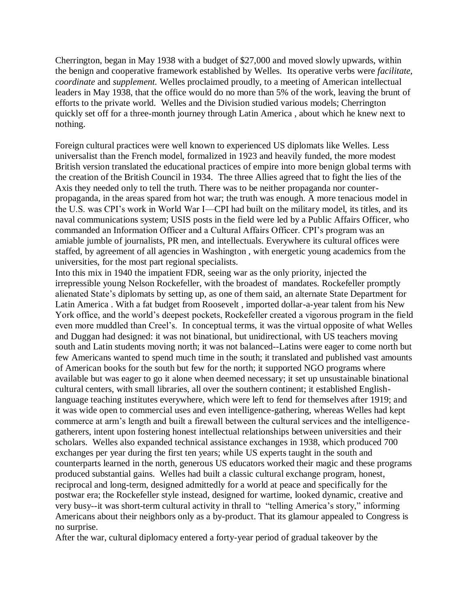Cherrington, began in May 1938 with a budget of \$27,000 and moved slowly upwards, within the benign and cooperative framework established by Welles. Its operative verbs were *facilitate, coordinate* and *supplement.* Welles proclaimed proudly, to a meeting of American intellectual leaders in May 1938, that the office would do no more than 5% of the work, leaving the brunt of efforts to the private world. Welles and the Division studied various models; Cherrington quickly set off for a three-month journey through Latin America , about which he knew next to nothing.

Foreign cultural practices were well known to experienced US diplomats like Welles. Less universalist than the French model, formalized in 1923 and heavily funded, the more modest British version translated the educational practices of empire into more benign global terms with the creation of the British Council in 1934. The three Allies agreed that to fight the lies of the Axis they needed only to tell the truth. There was to be neither propaganda nor counterpropaganda, in the areas spared from hot war; the truth was enough. A more tenacious model in the U.S. was CPI"s work in World War I—CPI had built on the military model, its titles, and its naval communications system; USIS posts in the field were led by a Public Affairs Officer, who commanded an Information Officer and a Cultural Affairs Officer. CPI"s program was an amiable jumble of journalists, PR men, and intellectuals. Everywhere its cultural offices were staffed, by agreement of all agencies in Washington , with energetic young academics from the universities, for the most part regional specialists.

Into this mix in 1940 the impatient FDR, seeing war as the only priority, injected the irrepressible young Nelson Rockefeller, with the broadest of mandates. Rockefeller promptly alienated State"s diplomats by setting up, as one of them said, an alternate State Department for Latin America . With a fat budget from Roosevelt , imported dollar-a-year talent from his New York office, and the world"s deepest pockets, Rockefeller created a vigorous program in the field even more muddled than Creel"s. In conceptual terms, it was the virtual opposite of what Welles and Duggan had designed: it was not binational, but unidirectional, with US teachers moving south and Latin students moving north; it was not balanced--Latins were eager to come north but few Americans wanted to spend much time in the south; it translated and published vast amounts of American books for the south but few for the north; it supported NGO programs where available but was eager to go it alone when deemed necessary; it set up unsustainable binational cultural centers, with small libraries, all over the southern continent; it established Englishlanguage teaching institutes everywhere, which were left to fend for themselves after 1919; and it was wide open to commercial uses and even intelligence-gathering, whereas Welles had kept commerce at arm"s length and built a firewall between the cultural services and the intelligencegatherers, intent upon fostering honest intellectual relationships between universities and their scholars. Welles also expanded technical assistance exchanges in 1938, which produced 700 exchanges per year during the first ten years; while US experts taught in the south and counterparts learned in the north, generous US educators worked their magic and these programs produced substantial gains. Welles had built a classic cultural exchange program, honest, reciprocal and long-term, designed admittedly for a world at peace and specifically for the postwar era; the Rockefeller style instead, designed for wartime, looked dynamic, creative and very busy--it was short-term cultural activity in thrall to "telling America"s story," informing Americans about their neighbors only as a by-product. That its glamour appealed to Congress is no surprise.

After the war, cultural diplomacy entered a forty-year period of gradual takeover by the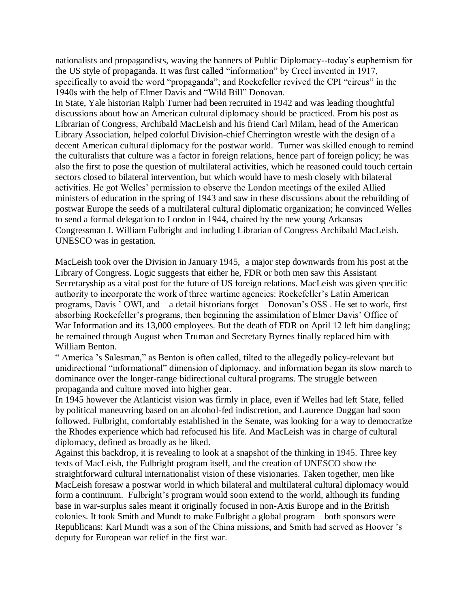nationalists and propagandists, waving the banners of Public Diplomacy--today"s euphemism for the US style of propaganda. It was first called "information" by Creel invented in 1917, specifically to avoid the word "propaganda"; and Rockefeller revived the CPI "circus" in the 1940s with the help of Elmer Davis and "Wild Bill" Donovan. In State, Yale historian Ralph Turner had been recruited in 1942 and was leading thoughtful discussions about how an American cultural diplomacy should be practiced. From his post as Librarian of Congress, Archibald MacLeish and his friend Carl Milam, head of the American Library Association, helped colorful Division-chief Cherrington wrestle with the design of a decent American cultural diplomacy for the postwar world. Turner was skilled enough to remind the culturalists that culture was a factor in foreign relations, hence part of foreign policy; he was also the first to pose the question of multilateral activities, which he reasoned could touch certain sectors closed to bilateral intervention, but which would have to mesh closely with bilateral activities. He got Welles" permission to observe the London meetings of the exiled Allied ministers of education in the spring of 1943 and saw in these discussions about the rebuilding of postwar Europe the seeds of a multilateral cultural diplomatic organization; he convinced Welles to send a formal delegation to London in 1944, chaired by the new young Arkansas Congressman J. William Fulbright and including Librarian of Congress Archibald MacLeish. UNESCO was in gestation.

MacLeish took over the Division in January 1945, a major step downwards from his post at the Library of Congress. Logic suggests that either he, FDR or both men saw this Assistant Secretaryship as a vital post for the future of US foreign relations. MacLeish was given specific authority to incorporate the work of three wartime agencies: Rockefeller"s Latin American programs, Davis " OWI, and—a detail historians forget—Donovan"s OSS . He set to work, first absorbing Rockefeller's programs, then beginning the assimilation of Elmer Davis' Office of War Information and its 13,000 employees. But the death of FDR on April 12 left him dangling; he remained through August when Truman and Secretary Byrnes finally replaced him with William Benton.

" America "s Salesman," as Benton is often called, tilted to the allegedly policy-relevant but unidirectional "informational" dimension of diplomacy, and information began its slow march to dominance over the longer-range bidirectional cultural programs. The struggle between propaganda and culture moved into higher gear.

In 1945 however the Atlanticist vision was firmly in place, even if Welles had left State, felled by political maneuvring based on an alcohol-fed indiscretion, and Laurence Duggan had soon followed. Fulbright, comfortably established in the Senate, was looking for a way to democratize the Rhodes experience which had refocused his life. And MacLeish was in charge of cultural diplomacy, defined as broadly as he liked.

Against this backdrop, it is revealing to look at a snapshot of the thinking in 1945. Three key texts of MacLeish, the Fulbright program itself, and the creation of UNESCO show the straightforward cultural internationalist vision of these visionaries. Taken together, men like MacLeish foresaw a postwar world in which bilateral and multilateral cultural diplomacy would form a continuum. Fulbright's program would soon extend to the world, although its funding base in war-surplus sales meant it originally focused in non-Axis Europe and in the British colonies. It took Smith and Mundt to make Fulbright a global program—both sponsors were Republicans: Karl Mundt was a son of the China missions, and Smith had served as Hoover "s deputy for European war relief in the first war.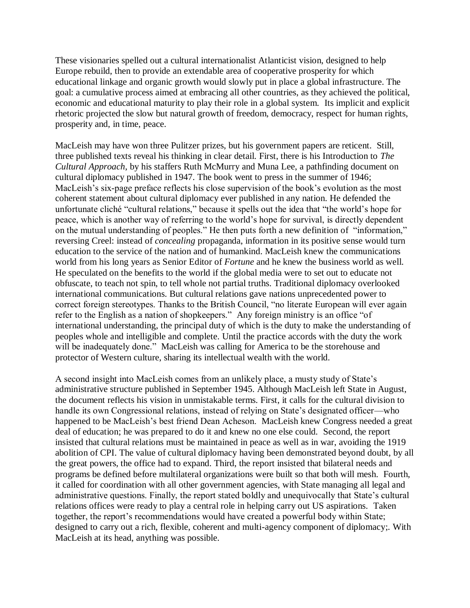These visionaries spelled out a cultural internationalist Atlanticist vision, designed to help Europe rebuild, then to provide an extendable area of cooperative prosperity for which educational linkage and organic growth would slowly put in place a global infrastructure. The goal: a cumulative process aimed at embracing all other countries, as they achieved the political, economic and educational maturity to play their role in a global system. Its implicit and explicit rhetoric projected the slow but natural growth of freedom, democracy, respect for human rights, prosperity and, in time, peace.

MacLeish may have won three Pulitzer prizes, but his government papers are reticent. Still, three published texts reveal his thinking in clear detail. First, there is his Introduction to *The Cultural Approach*, by his staffers Ruth McMurry and Muna Lee, a pathfinding document on cultural diplomacy published in 1947. The book went to press in the summer of 1946; MacLeish's six-page preface reflects his close supervision of the book's evolution as the most coherent statement about cultural diplomacy ever published in any nation. He defended the unfortunate cliché "cultural relations," because it spells out the idea that "the world"s hope for peace, which is another way of referring to the world"s hope for survival, is directly dependent on the mutual understanding of peoples." He then puts forth a new definition of "information," reversing Creel: instead of *concealing* propaganda, information in its positive sense would turn education to the service of the nation and of humankind. MacLeish knew the communications world from his long years as Senior Editor of *Fortune* and he knew the business world as well. He speculated on the benefits to the world if the global media were to set out to educate not obfuscate, to teach not spin, to tell whole not partial truths. Traditional diplomacy overlooked international communications. But cultural relations gave nations unprecedented power to correct foreign stereotypes. Thanks to the British Council, "no literate European will ever again refer to the English as a nation of shopkeepers." Any foreign ministry is an office "of international understanding, the principal duty of which is the duty to make the understanding of peoples whole and intelligible and complete. Until the practice accords with the duty the work will be inadequately done." MacLeish was calling for America to be the storehouse and protector of Western culture, sharing its intellectual wealth with the world.

A second insight into MacLeish comes from an unlikely place, a musty study of State"s administrative structure published in September 1945. Although MacLeish left State in August, the document reflects his vision in unmistakable terms. First, it calls for the cultural division to handle its own Congressional relations, instead of relying on State's designated officer—who happened to be MacLeish"s best friend Dean Acheson. MacLeish knew Congress needed a great deal of education; he was prepared to do it and knew no one else could. Second, the report insisted that cultural relations must be maintained in peace as well as in war, avoiding the 1919 abolition of CPI. The value of cultural diplomacy having been demonstrated beyond doubt, by all the great powers, the office had to expand. Third, the report insisted that bilateral needs and programs be defined before multilateral organizations were built so that both will mesh. Fourth, it called for coordination with all other government agencies, with State managing all legal and administrative questions. Finally, the report stated boldly and unequivocally that State"s cultural relations offices were ready to play a central role in helping carry out US aspirations. Taken together, the report's recommendations would have created a powerful body within State; designed to carry out a rich, flexible, coherent and multi-agency component of diplomacy;. With MacLeish at its head, anything was possible.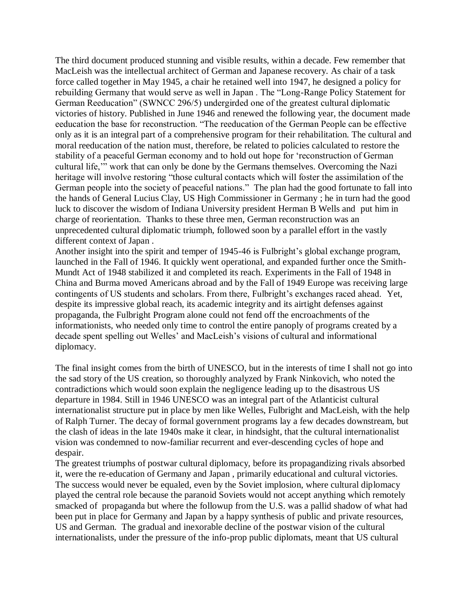The third document produced stunning and visible results, within a decade. Few remember that MacLeish was the intellectual architect of German and Japanese recovery. As chair of a task force called together in May 1945, a chair he retained well into 1947, he designed a policy for rebuilding Germany that would serve as well in Japan . The "Long-Range Policy Statement for German Reeducation" (SWNCC 296/5) undergirded one of the greatest cultural diplomatic victories of history. Published in June 1946 and renewed the following year, the document made eeducation the base for reconstruction. "The reeducation of the German People can be effective only as it is an integral part of a comprehensive program for their rehabilitation. The cultural and moral reeducation of the nation must, therefore, be related to policies calculated to restore the stability of a peaceful German economy and to hold out hope for "reconstruction of German cultural life,"" work that can only be done by the Germans themselves. Overcoming the Nazi heritage will involve restoring "those cultural contacts which will foster the assimilation of the German people into the society of peaceful nations." The plan had the good fortunate to fall into the hands of General Lucius Clay, US High Commissioner in Germany ; he in turn had the good luck to discover the wisdom of Indiana University president Herman B Wells and put him in charge of reorientation. Thanks to these three men, German reconstruction was an unprecedented cultural diplomatic triumph, followed soon by a parallel effort in the vastly different context of Japan .

Another insight into the spirit and temper of 1945-46 is Fulbright's global exchange program, launched in the Fall of 1946. It quickly went operational, and expanded further once the Smith-Mundt Act of 1948 stabilized it and completed its reach. Experiments in the Fall of 1948 in China and Burma moved Americans abroad and by the Fall of 1949 Europe was receiving large contingents of US students and scholars. From there, Fulbright's exchanges raced ahead. Yet, despite its impressive global reach, its academic integrity and its airtight defenses against propaganda, the Fulbright Program alone could not fend off the encroachments of the informationists, who needed only time to control the entire panoply of programs created by a decade spent spelling out Welles" and MacLeish"s visions of cultural and informational diplomacy.

The final insight comes from the birth of UNESCO, but in the interests of time I shall not go into the sad story of the US creation, so thoroughly analyzed by Frank Ninkovich, who noted the contradictions which would soon explain the negligence leading up to the disastrous US departure in 1984. Still in 1946 UNESCO was an integral part of the Atlanticist cultural internationalist structure put in place by men like Welles, Fulbright and MacLeish, with the help of Ralph Turner. The decay of formal government programs lay a few decades downstream, but the clash of ideas in the late 1940s make it clear, in hindsight, that the cultural internationalist vision was condemned to now-familiar recurrent and ever-descending cycles of hope and despair.

The greatest triumphs of postwar cultural diplomacy, before its propagandizing rivals absorbed it, were the re-education of Germany and Japan , primarily educational and cultural victories. The success would never be equaled, even by the Soviet implosion, where cultural diplomacy played the central role because the paranoid Soviets would not accept anything which remotely smacked of propaganda but where the followup from the U.S. was a pallid shadow of what had been put in place for Germany and Japan by a happy synthesis of public and private resources, US and German. The gradual and inexorable decline of the postwar vision of the cultural internationalists, under the pressure of the info-prop public diplomats, meant that US cultural